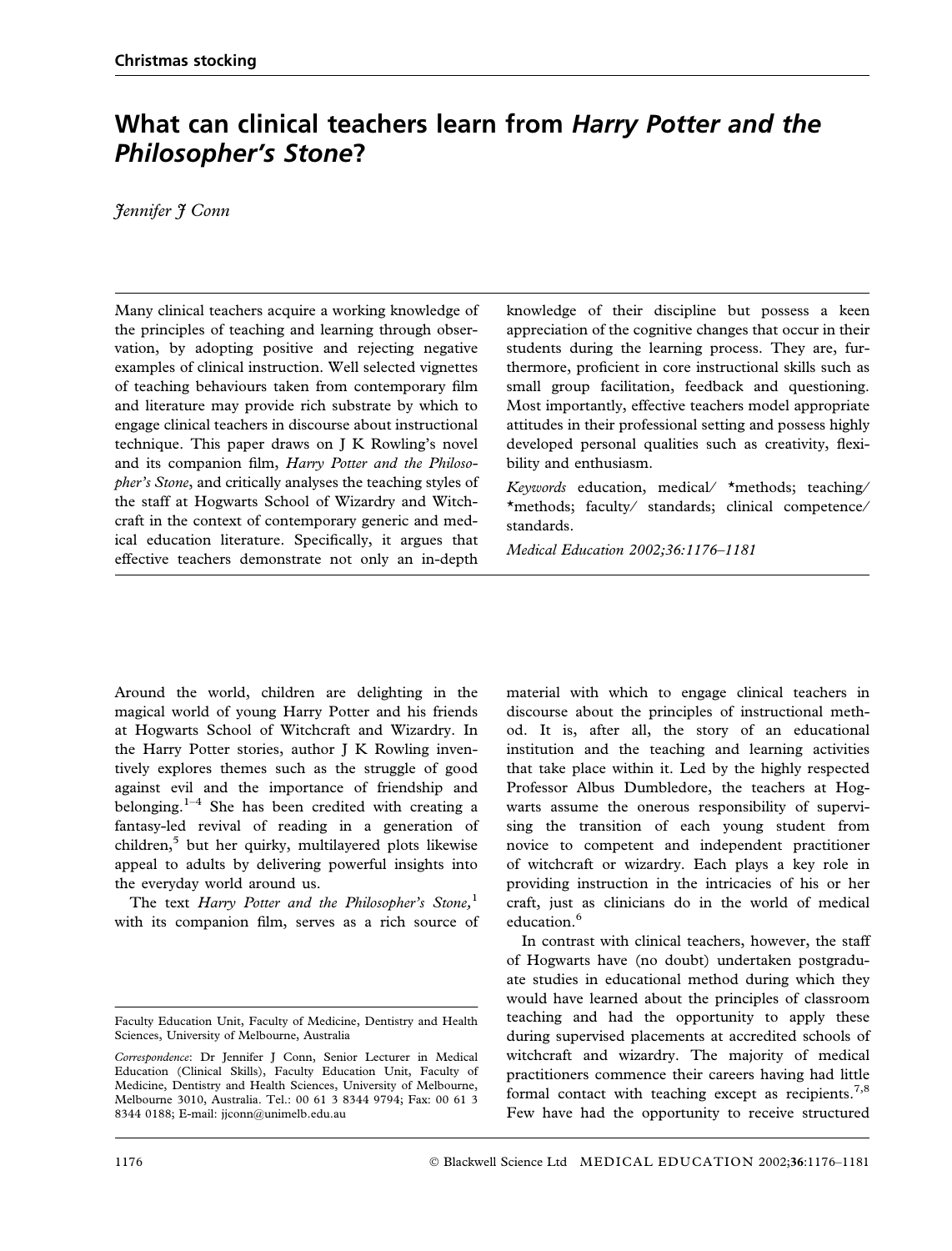# What can clinical teachers learn from Harry Potter and the Philosopher's Stone?

Jennifer J Conn

Many clinical teachers acquire a working knowledge of the principles of teaching and learning through observation, by adopting positive and rejecting negative examples of clinical instruction. Well selected vignettes of teaching behaviours taken from contemporary film and literature may provide rich substrate by which to engage clinical teachers in discourse about instructional technique. This paper draws on J K Rowling's novel and its companion film, Harry Potter and the Philosopher's Stone, and critically analyses the teaching styles of the staff at Hogwarts School of Wizardry and Witchcraft in the context of contemporary generic and medical education literature. Specifically, it argues that effective teachers demonstrate not only an in-depth

knowledge of their discipline but possess a keen appreciation of the cognitive changes that occur in their students during the learning process. They are, furthermore, proficient in core instructional skills such as small group facilitation, feedback and questioning. Most importantly, effective teachers model appropriate attitudes in their professional setting and possess highly developed personal qualities such as creativity, flexibility and enthusiasm.

Keywords education, medical/  $\star$ methods; teaching/ \*methods; faculty/ standards; clinical competence/ standards.

Medical Education 2002;36:1176–1181

Around the world, children are delighting in the magical world of young Harry Potter and his friends at Hogwarts School of Witchcraft and Wizardry. In the Harry Potter stories, author J K Rowling inventively explores themes such as the struggle of good against evil and the importance of friendship and belonging.<sup>1–4</sup> She has been credited with creating a fantasy-led revival of reading in a generation of children,<sup>5</sup> but her quirky, multilayered plots likewise appeal to adults by delivering powerful insights into the everyday world around us.

The text Harry Potter and the Philosopher's Stone, $<sup>1</sup>$ </sup> with its companion film, serves as a rich source of material with which to engage clinical teachers in discourse about the principles of instructional method. It is, after all, the story of an educational institution and the teaching and learning activities that take place within it. Led by the highly respected Professor Albus Dumbledore, the teachers at Hogwarts assume the onerous responsibility of supervising the transition of each young student from novice to competent and independent practitioner of witchcraft or wizardry. Each plays a key role in providing instruction in the intricacies of his or her craft, just as clinicians do in the world of medical education.<sup>6</sup>

In contrast with clinical teachers, however, the staff of Hogwarts have (no doubt) undertaken postgraduate studies in educational method during which they would have learned about the principles of classroom teaching and had the opportunity to apply these during supervised placements at accredited schools of witchcraft and wizardry. The majority of medical practitioners commence their careers having had little formal contact with teaching except as recipients.<sup>7,8</sup> Few have had the opportunity to receive structured

Faculty Education Unit, Faculty of Medicine, Dentistry and Health Sciences, University of Melbourne, Australia

Correspondence: Dr Jennifer J Conn, Senior Lecturer in Medical Education (Clinical Skills), Faculty Education Unit, Faculty of Medicine, Dentistry and Health Sciences, University of Melbourne, Melbourne 3010, Australia. Tel.: 00 61 3 8344 9794; Fax: 00 61 3 8344 0188; E-mail: jjconn@unimelb.edu.au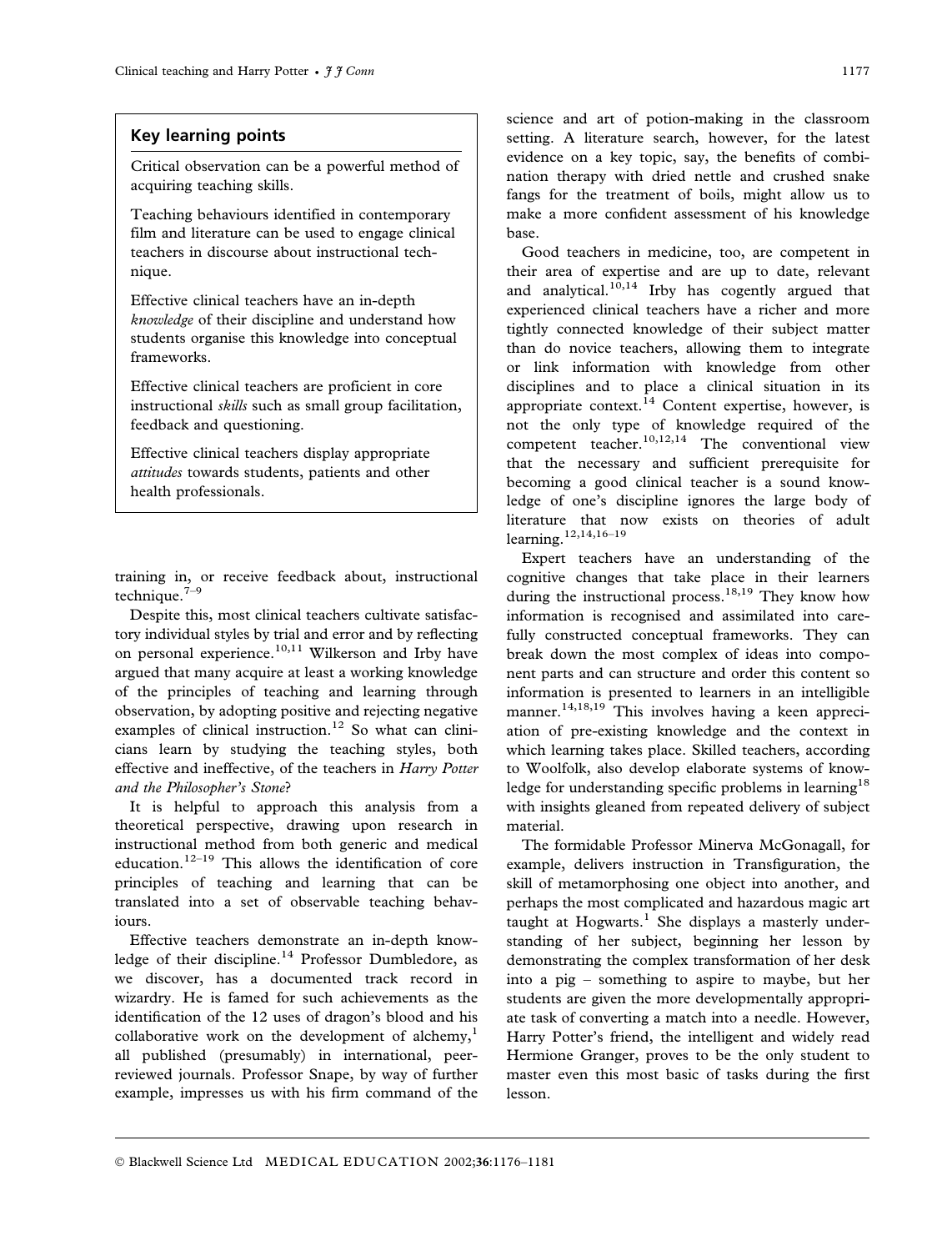### Key learning points

Critical observation can be a powerful method of acquiring teaching skills.

Teaching behaviours identified in contemporary film and literature can be used to engage clinical teachers in discourse about instructional technique.

Effective clinical teachers have an in-depth knowledge of their discipline and understand how students organise this knowledge into conceptual frameworks.

Effective clinical teachers are proficient in core instructional skills such as small group facilitation, feedback and questioning.

Effective clinical teachers display appropriate attitudes towards students, patients and other health professionals.

training in, or receive feedback about, instructional technique.7–9

Despite this, most clinical teachers cultivate satisfactory individual styles by trial and error and by reflecting on personal experience.<sup>10,11</sup> Wilkerson and Irby have argued that many acquire at least a working knowledge of the principles of teaching and learning through observation, by adopting positive and rejecting negative examples of clinical instruction.<sup>12</sup> So what can clinicians learn by studying the teaching styles, both effective and ineffective, of the teachers in Harry Potter and the Philosopher's Stone?

It is helpful to approach this analysis from a theoretical perspective, drawing upon research in instructional method from both generic and medical education.<sup>12–19</sup> This allows the identification of core principles of teaching and learning that can be translated into a set of observable teaching behaviours.

Effective teachers demonstrate an in-depth knowledge of their discipline.<sup>14</sup> Professor Dumbledore, as we discover, has a documented track record in wizardry. He is famed for such achievements as the identification of the 12 uses of dragon's blood and his collaborative work on the development of alchemy, $<sup>1</sup>$ </sup> all published (presumably) in international, peerreviewed journals. Professor Snape, by way of further example, impresses us with his firm command of the science and art of potion-making in the classroom setting. A literature search, however, for the latest evidence on a key topic, say, the benefits of combination therapy with dried nettle and crushed snake fangs for the treatment of boils, might allow us to make a more confident assessment of his knowledge base.

Good teachers in medicine, too, are competent in their area of expertise and are up to date, relevant and analytical.<sup>10,14</sup> Irby has cogently argued that experienced clinical teachers have a richer and more tightly connected knowledge of their subject matter than do novice teachers, allowing them to integrate or link information with knowledge from other disciplines and to place a clinical situation in its appropriate context.<sup>14</sup> Content expertise, however, is not the only type of knowledge required of the competent teacher.<sup>10,12,14</sup> The conventional view that the necessary and sufficient prerequisite for becoming a good clinical teacher is a sound knowledge of one's discipline ignores the large body of literature that now exists on theories of adult learning.<sup>12,14,16–19</sup>

Expert teachers have an understanding of the cognitive changes that take place in their learners during the instructional process.<sup>18,19</sup> They know how information is recognised and assimilated into carefully constructed conceptual frameworks. They can break down the most complex of ideas into component parts and can structure and order this content so information is presented to learners in an intelligible manner.<sup>14,18,19</sup> This involves having a keen appreciation of pre-existing knowledge and the context in which learning takes place. Skilled teachers, according to Woolfolk, also develop elaborate systems of knowledge for understanding specific problems in learning<sup>18</sup> with insights gleaned from repeated delivery of subject material.

The formidable Professor Minerva McGonagall, for example, delivers instruction in Transfiguration, the skill of metamorphosing one object into another, and perhaps the most complicated and hazardous magic art taught at Hogwarts.<sup>1</sup> She displays a masterly understanding of her subject, beginning her lesson by demonstrating the complex transformation of her desk into a pig – something to aspire to maybe, but her students are given the more developmentally appropriate task of converting a match into a needle. However, Harry Potter's friend, the intelligent and widely read Hermione Granger, proves to be the only student to master even this most basic of tasks during the first lesson.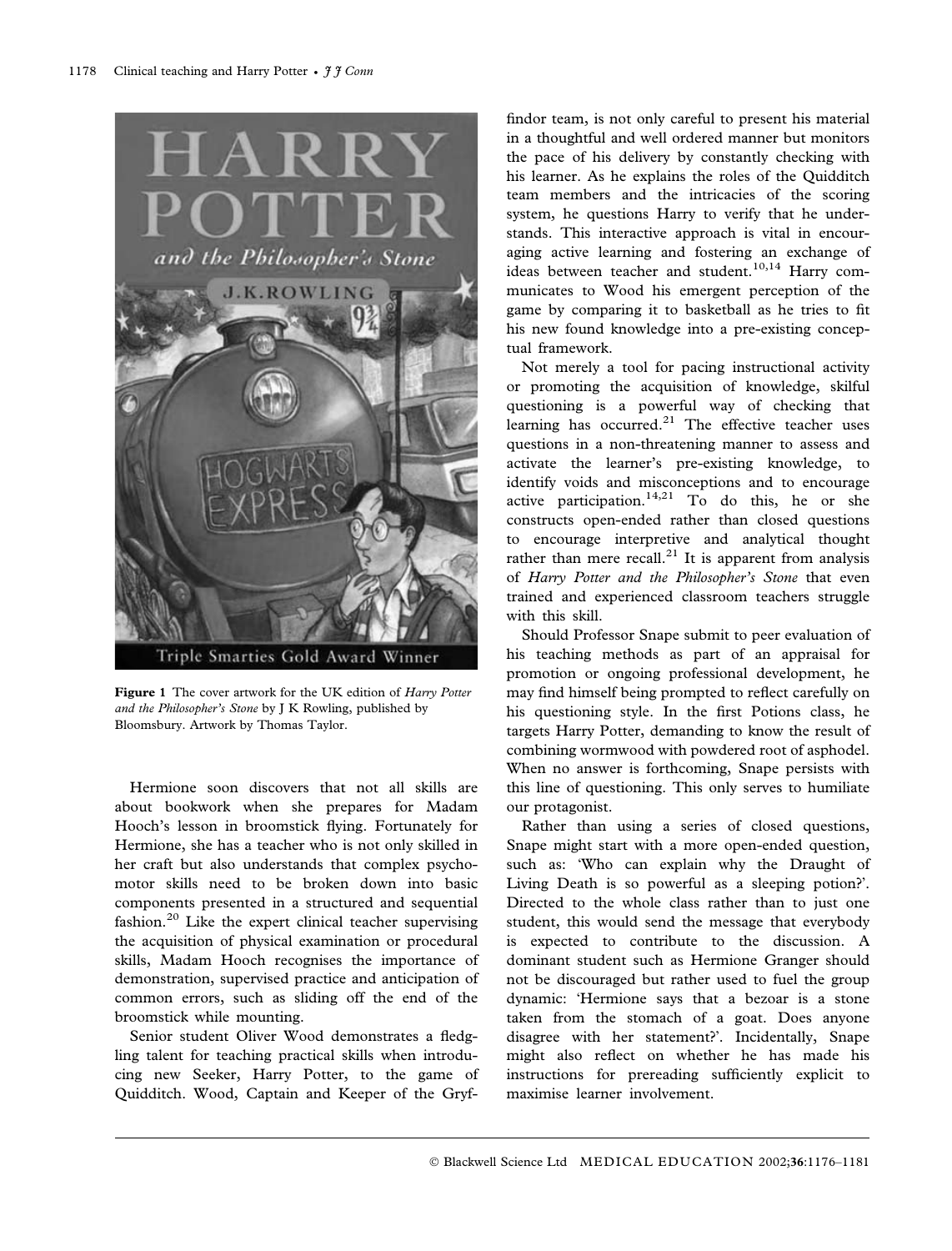

Figure 1 The cover artwork for the UK edition of *Harry Potter* and the Philosopher's Stone by J K Rowling, published by Bloomsbury. Artwork by Thomas Taylor.

Hermione soon discovers that not all skills are about bookwork when she prepares for Madam Hooch's lesson in broomstick flying. Fortunately for Hermione, she has a teacher who is not only skilled in her craft but also understands that complex psychomotor skills need to be broken down into basic components presented in a structured and sequential fashion.<sup>20</sup> Like the expert clinical teacher supervising the acquisition of physical examination or procedural skills, Madam Hooch recognises the importance of demonstration, supervised practice and anticipation of common errors, such as sliding off the end of the broomstick while mounting.

Senior student Oliver Wood demonstrates a fledgling talent for teaching practical skills when introducing new Seeker, Harry Potter, to the game of Quidditch. Wood, Captain and Keeper of the Gryf-

findor team, is not only careful to present his material in a thoughtful and well ordered manner but monitors the pace of his delivery by constantly checking with his learner. As he explains the roles of the Quidditch team members and the intricacies of the scoring system, he questions Harry to verify that he understands. This interactive approach is vital in encouraging active learning and fostering an exchange of ideas between teacher and student.<sup>10,14</sup> Harry communicates to Wood his emergent perception of the game by comparing it to basketball as he tries to fit his new found knowledge into a pre-existing conceptual framework.

Not merely a tool for pacing instructional activity or promoting the acquisition of knowledge, skilful questioning is a powerful way of checking that learning has occurred.<sup>21</sup> The effective teacher uses questions in a non-threatening manner to assess and activate the learner's pre-existing knowledge, to identify voids and misconceptions and to encourage active participation.<sup>14,21</sup> To do this, he or she constructs open-ended rather than closed questions to encourage interpretive and analytical thought rather than mere recall.<sup>21</sup> It is apparent from analysis of Harry Potter and the Philosopher's Stone that even trained and experienced classroom teachers struggle with this skill.

Should Professor Snape submit to peer evaluation of his teaching methods as part of an appraisal for promotion or ongoing professional development, he may find himself being prompted to reflect carefully on his questioning style. In the first Potions class, he targets Harry Potter, demanding to know the result of combining wormwood with powdered root of asphodel. When no answer is forthcoming, Snape persists with this line of questioning. This only serves to humiliate our protagonist.

Rather than using a series of closed questions, Snape might start with a more open-ended question, such as: Who can explain why the Draught of Living Death is so powerful as a sleeping potion?'. Directed to the whole class rather than to just one student, this would send the message that everybody is expected to contribute to the discussion. A dominant student such as Hermione Granger should not be discouraged but rather used to fuel the group dynamic: Hermione says that a bezoar is a stone taken from the stomach of a goat. Does anyone disagree with her statement?'. Incidentally, Snape might also reflect on whether he has made his instructions for prereading sufficiently explicit to maximise learner involvement.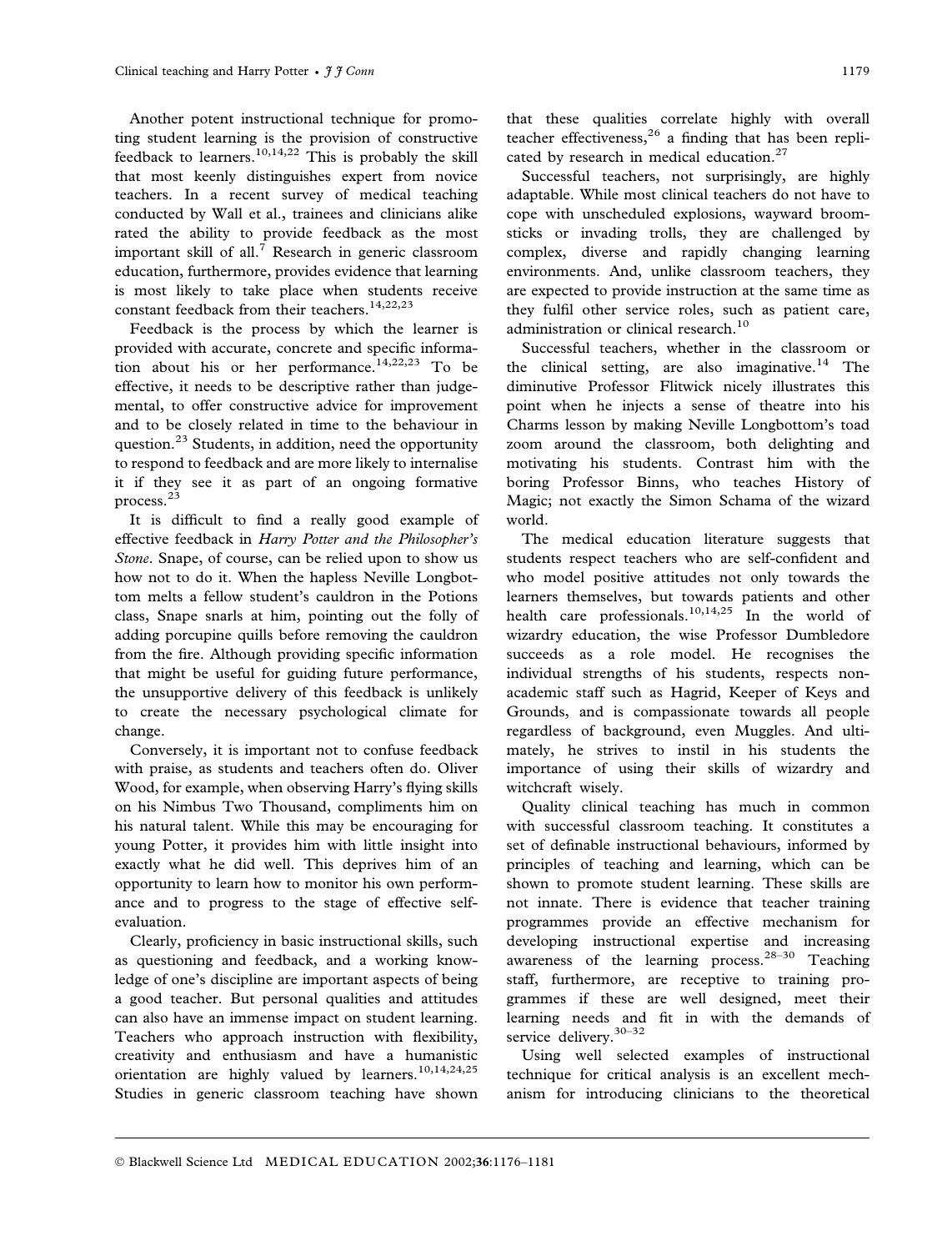Another potent instructional technique for promoting student learning is the provision of constructive feedback to learners.<sup>10,14,22</sup> This is probably the skill that most keenly distinguishes expert from novice teachers. In a recent survey of medical teaching conducted by Wall et al., trainees and clinicians alike rated the ability to provide feedback as the most important skill of all.<sup>7</sup> Research in generic classroom education, furthermore, provides evidence that learning is most likely to take place when students receive constant feedback from their teachers.<sup>14,22,23</sup>

Feedback is the process by which the learner is provided with accurate, concrete and specific information about his or her performance.<sup>14,22,23</sup> To be effective, it needs to be descriptive rather than judgemental, to offer constructive advice for improvement and to be closely related in time to the behaviour in question.<sup>23</sup> Students, in addition, need the opportunity to respond to feedback and are more likely to internalise it if they see it as part of an ongoing formative process.<sup>23</sup>

It is difficult to find a really good example of effective feedback in Harry Potter and the Philosopher's Stone. Snape, of course, can be relied upon to show us how not to do it. When the hapless Neville Longbottom melts a fellow student's cauldron in the Potions class, Snape snarls at him, pointing out the folly of adding porcupine quills before removing the cauldron from the fire. Although providing specific information that might be useful for guiding future performance, the unsupportive delivery of this feedback is unlikely to create the necessary psychological climate for change.

Conversely, it is important not to confuse feedback with praise, as students and teachers often do. Oliver Wood, for example, when observing Harry's flying skills on his Nimbus Two Thousand, compliments him on his natural talent. While this may be encouraging for young Potter, it provides him with little insight into exactly what he did well. This deprives him of an opportunity to learn how to monitor his own performance and to progress to the stage of effective selfevaluation.

Clearly, proficiency in basic instructional skills, such as questioning and feedback, and a working knowledge of one's discipline are important aspects of being a good teacher. But personal qualities and attitudes can also have an immense impact on student learning. Teachers who approach instruction with flexibility, creativity and enthusiasm and have a humanistic orientation are highly valued by learners.<sup>10,14,24,25</sup> Studies in generic classroom teaching have shown that these qualities correlate highly with overall teacher effectiveness,  $2^6$  a finding that has been replicated by research in medical education.<sup>27</sup>

Successful teachers, not surprisingly, are highly adaptable. While most clinical teachers do not have to cope with unscheduled explosions, wayward broomsticks or invading trolls, they are challenged by complex, diverse and rapidly changing learning environments. And, unlike classroom teachers, they are expected to provide instruction at the same time as they fulfil other service roles, such as patient care, administration or clinical research.<sup>10</sup>

Successful teachers, whether in the classroom or the clinical setting, are also imaginative.<sup>14</sup> The diminutive Professor Flitwick nicely illustrates this point when he injects a sense of theatre into his Charms lesson by making Neville Longbottom's toad zoom around the classroom, both delighting and motivating his students. Contrast him with the boring Professor Binns, who teaches History of Magic; not exactly the Simon Schama of the wizard world.

The medical education literature suggests that students respect teachers who are self-confident and who model positive attitudes not only towards the learners themselves, but towards patients and other health care professionals.<sup>10,14,25</sup> In the world of wizardry education, the wise Professor Dumbledore succeeds as a role model. He recognises the individual strengths of his students, respects nonacademic staff such as Hagrid, Keeper of Keys and Grounds, and is compassionate towards all people regardless of background, even Muggles. And ultimately, he strives to instil in his students the importance of using their skills of wizardry and witchcraft wisely.

Quality clinical teaching has much in common with successful classroom teaching. It constitutes a set of definable instructional behaviours, informed by principles of teaching and learning, which can be shown to promote student learning. These skills are not innate. There is evidence that teacher training programmes provide an effective mechanism for developing instructional expertise and increasing awareness of the learning process.28–30 Teaching staff, furthermore, are receptive to training programmes if these are well designed, meet their learning needs and fit in with the demands of service delivery.<sup>30-32</sup>

Using well selected examples of instructional technique for critical analysis is an excellent mechanism for introducing clinicians to the theoretical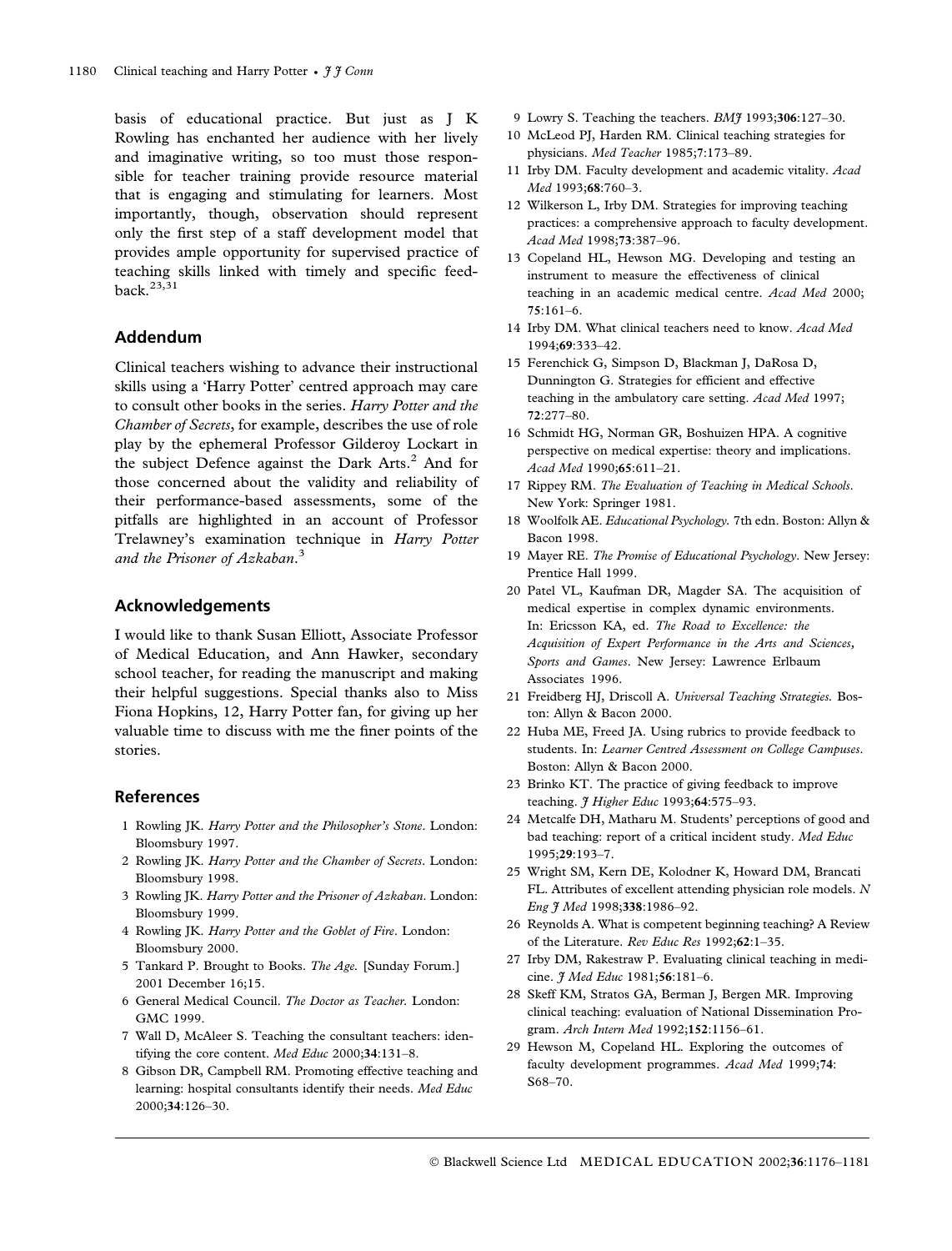basis of educational practice. But just as J K Rowling has enchanted her audience with her lively and imaginative writing, so too must those responsible for teacher training provide resource material that is engaging and stimulating for learners. Most importantly, though, observation should represent only the first step of a staff development model that provides ample opportunity for supervised practice of teaching skills linked with timely and specific feedback.23,31

## Addendum

Clinical teachers wishing to advance their instructional skills using a 'Harry Potter' centred approach may care to consult other books in the series. Harry Potter and the Chamber of Secrets, for example, describes the use of role play by the ephemeral Professor Gilderoy Lockart in the subject Defence against the Dark Arts.<sup>2</sup> And for those concerned about the validity and reliability of their performance-based assessments, some of the pitfalls are highlighted in an account of Professor Trelawney's examination technique in Harry Potter and the Prisoner of Azkaban.<sup>3</sup>

## Acknowledgements

I would like to thank Susan Elliott, Associate Professor of Medical Education, and Ann Hawker, secondary school teacher, for reading the manuscript and making their helpful suggestions. Special thanks also to Miss Fiona Hopkins, 12, Harry Potter fan, for giving up her valuable time to discuss with me the finer points of the stories.

### References

- 1 Rowling JK. Harry Potter and the Philosopher's Stone. London: Bloomsbury 1997.
- 2 Rowling JK. Harry Potter and the Chamber of Secrets. London: Bloomsbury 1998.
- 3 Rowling JK. Harry Potter and the Prisoner of Azkaban. London: Bloomsbury 1999.
- 4 Rowling JK. Harry Potter and the Goblet of Fire. London: Bloomsbury 2000.
- 5 Tankard P. Brought to Books. The Age. [Sunday Forum.] 2001 December 16;15.
- 6 General Medical Council. The Doctor as Teacher. London: GMC 1999.
- 7 Wall D, McAleer S. Teaching the consultant teachers: identifying the core content. Med Educ 2000;34:131-8.
- 8 Gibson DR, Campbell RM. Promoting effective teaching and learning: hospital consultants identify their needs. Med Educ 2000;34:126–30.
- 9 Lowry S. Teaching the teachers. BMJ 1993;306:127–30.
- 10 McLeod PJ, Harden RM. Clinical teaching strategies for physicians. Med Teacher 1985;7:173–89.
- 11 Irby DM. Faculty development and academic vitality. Acad Med 1993;68:760–3.
- 12 Wilkerson L, Irby DM. Strategies for improving teaching practices: a comprehensive approach to faculty development. Acad Med 1998;73:387–96.
- 13 Copeland HL, Hewson MG. Developing and testing an instrument to measure the effectiveness of clinical teaching in an academic medical centre. Acad Med 2000; 75:161–6.
- 14 Irby DM. What clinical teachers need to know. Acad Med 1994;69:333–42.
- 15 Ferenchick G, Simpson D, Blackman J, DaRosa D, Dunnington G. Strategies for efficient and effective teaching in the ambulatory care setting. Acad Med 1997; 72:277–80.
- 16 Schmidt HG, Norman GR, Boshuizen HPA. A cognitive perspective on medical expertise: theory and implications. Acad Med 1990;65:611–21.
- 17 Rippey RM. The Evaluation of Teaching in Medical Schools. New York: Springer 1981.
- 18 Woolfolk AE. Educational Psychology. 7th edn. Boston: Allyn & Bacon 1998.
- 19 Mayer RE. The Promise of Educational Psychology. New Jersey: Prentice Hall 1999.
- 20 Patel VL, Kaufman DR, Magder SA. The acquisition of medical expertise in complex dynamic environments. In: Ericsson KA, ed. The Road to Excellence: the Acquisition of Expert Performance in the Arts and Sciences, Sports and Games. New Jersey: Lawrence Erlbaum Associates 1996.
- 21 Freidberg HJ, Driscoll A. Universal Teaching Strategies. Boston: Allyn & Bacon 2000.
- 22 Huba ME, Freed JA. Using rubrics to provide feedback to students. In: Learner Centred Assessment on College Campuses. Boston: Allyn & Bacon 2000.
- 23 Brinko KT. The practice of giving feedback to improve teaching. *J Higher Educ* 1993;64:575-93.
- 24 Metcalfe DH, Matharu M. Students' perceptions of good and bad teaching: report of a critical incident study. Med Educ 1995;29:193–7.
- 25 Wright SM, Kern DE, Kolodner K, Howard DM, Brancati FL. Attributes of excellent attending physician role models. N Eng J Med 1998;338:1986–92.
- 26 Reynolds A. What is competent beginning teaching? A Review of the Literature. Rev Educ Res 1992;62:1–35.
- 27 Irby DM, Rakestraw P. Evaluating clinical teaching in medicine. *J Med Educ* 1981;56:181-6.
- 28 Skeff KM, Stratos GA, Berman J, Bergen MR. Improving clinical teaching: evaluation of National Dissemination Program. Arch Intern Med 1992;152:1156–61.
- 29 Hewson M, Copeland HL. Exploring the outcomes of faculty development programmes. Acad Med 1999;74: S68–70.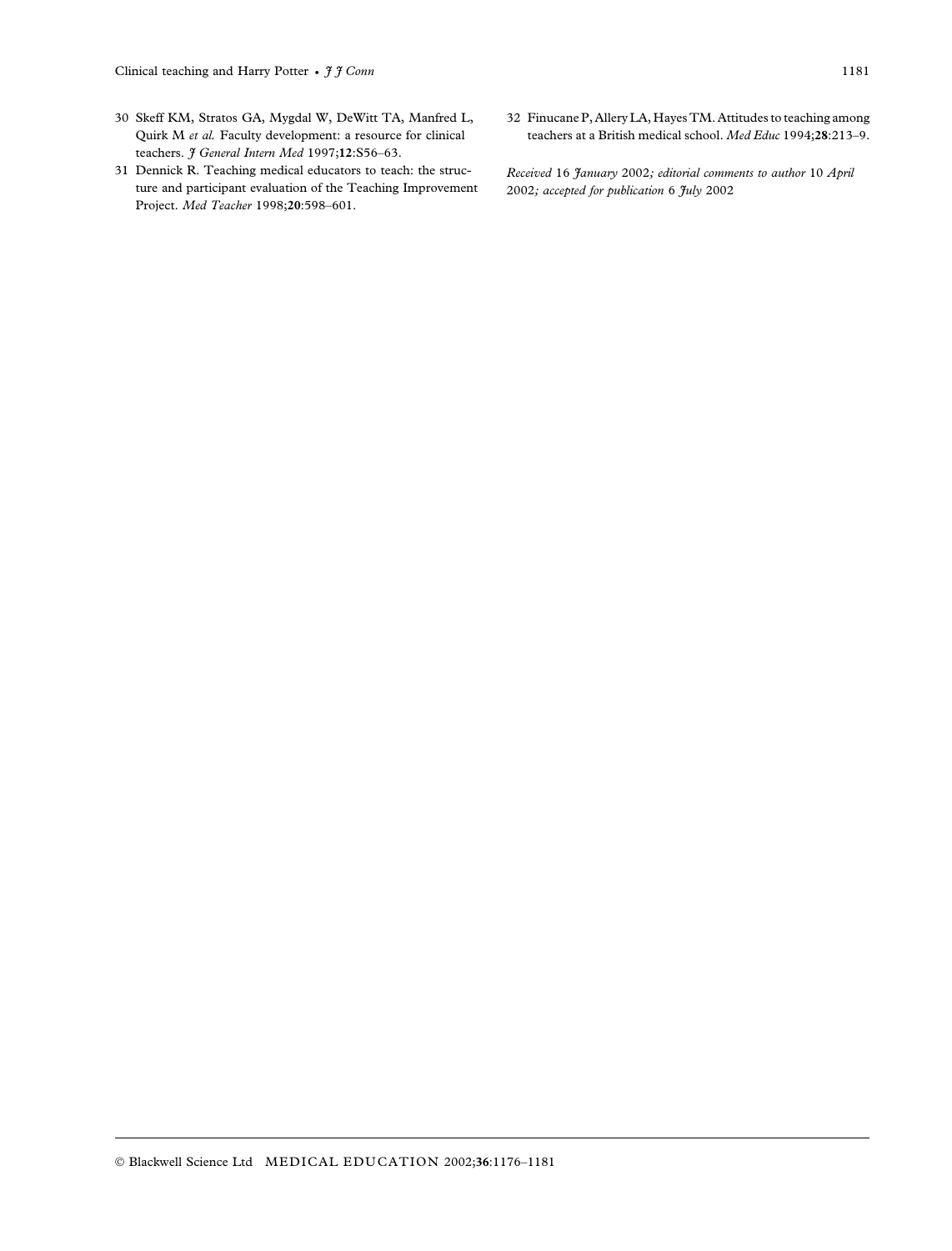- 30 Skeff KM, Stratos GA, Mygdal W, DeWitt TA, Manfred L, Quirk M et al. Faculty development: a resource for clinical teachers. J General Intern Med 1997;12:S56-63.
- 31 Dennick R. Teaching medical educators to teach: the structure and participant evaluation of the Teaching Improvement Project. Med Teacher 1998;20:598–601.
- 32 Finucane P, Allery LA, Hayes TM. Attitudes to teaching among teachers at a British medical school. Med Educ 1994;28:213–9.

Received 16 January 2002; editorial comments to author 10 April 2002; accepted for publication 6 July 2002